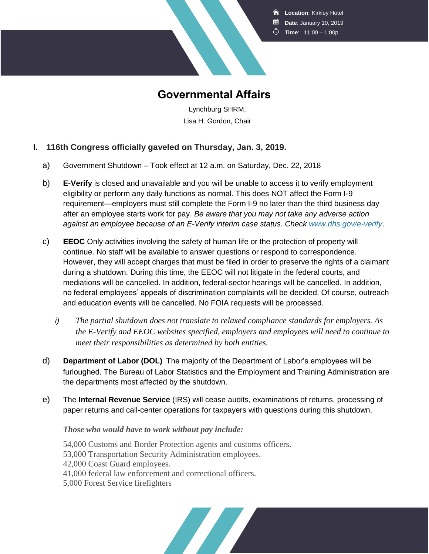**R** Location: Kirkley Hotel **Date**: January 10, 2019

**Time**: 11:00 – 1:00p



**Governmental Affairs**

Lynchburg SHRM, Lisa H. Gordon, Chair

## **I. 116th Congress officially gaveled on Thursday, Jan. 3, 2019.**

- a) Government Shutdown Took effect at 12 a.m. on Saturday, Dec. 22, 2018
- b) **E-Verify** is closed and unavailable and you will be unable to access it to verify employment eligibility or perform any daily functions as normal. This does NOT affect the Form I-9 requirement—employers must still complete the Form I-9 no later than the third business day after an employee starts work for pay. *Be aware that you may not take any adverse action against an employee because of an E-Verify interim case status. Check [www.dhs.gov/e-verify](http://msg.shrm.org/site/R?i=8bunKyQmEPBmOp0FgFvMKg)*.
- c) **EEOC** Only activities involving the safety of human life or the protection of property will continue. No staff will be available to answer questions or respond to correspondence. However, they will accept charges that must be filed in order to preserve the rights of a claimant during a shutdown. During this time, the EEOC will not litigate in the federal courts, and mediations will be cancelled. In addition, federal-sector hearings will be cancelled. In addition, no federal employees' appeals of discrimination complaints will be decided. Of course, outreach and education events will be cancelled. No FOIA requests will be processed.
	- *i) The partial shutdown does not translate to relaxed compliance standards for employers. As the E-Verify and EEOC websites specified, employers and employees will need to continue to meet their responsibilities as determined by both entities.*
- d) **Department of Labor (DOL)** The majority of the Department of Labor's employees will be furloughed. The Bureau of Labor Statistics and the Employment and Training Administration are the departments most affected by the shutdown.
- e) The **Internal Revenue Service** (IRS) will cease audits, examinations of returns, processing of paper returns and call-center operations for taxpayers with questions during this shutdown.

## *Those who would have to work without pay include:*

54,000 Customs and Border Protection agents and customs officers. 53,000 Transportation Security Administration employees. 42,000 Coast Guard employees. 41,000 federal law enforcement and correctional officers. 5,000 Forest Service firefighters